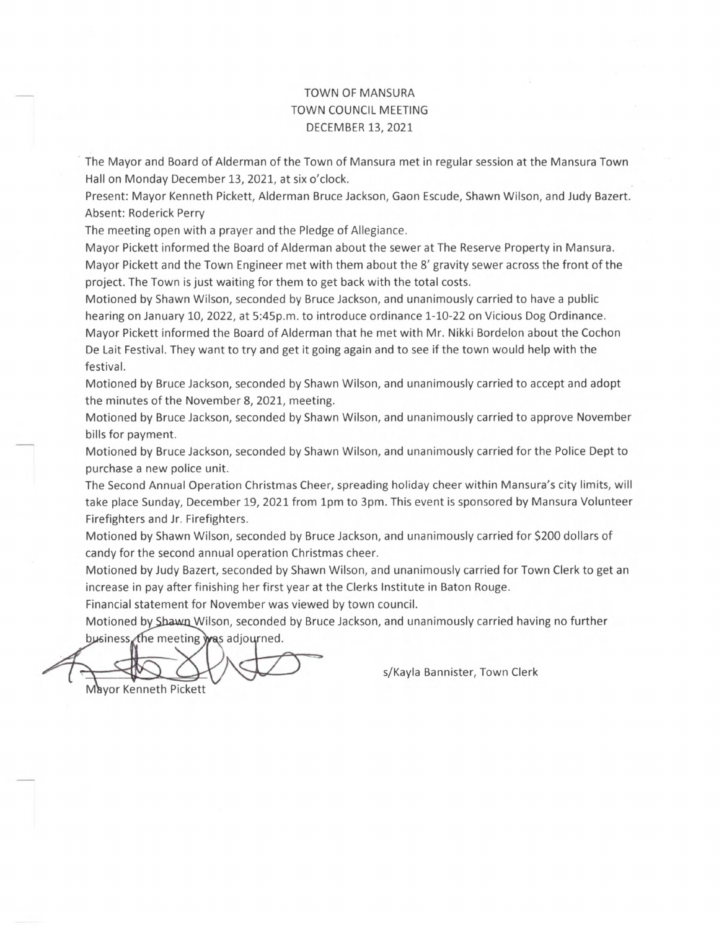## TOWN OF MANSURA TOWN COUNCIL MEETING DECEMBER 13, 2021

The Mayor and Board of Alderman of the Town of Mansura met in regular session at the Mansura Town Hall on Monday December 13, 2021, at six o'clock.

Present: Mayor Kenneth Pickett, Alderman Bruce Jackson, Gaon Escude, Shawn Wilson, and Judy Bazert. Absent: Roderick Perry

The meeting open with a prayer and the Pledge of Allegiance.

Mayor Pickett informed the Board of Alderman about the sewer at The Reserve Property in Mansura. Mayor Pickett and the Town Engineer met with them about the 8' gravity sewer across the front of the project. The Town is just waiting for them to get back with the total costs.

Motioned by Shawn Wilson, seconded by Bruce Jackson, and unanimously carried to have a public hearing on January 10, 2022, at 5:45p.m. to introduce ordinance 1-10-22 on Vicious Dog Ordinance. Mayor Pickett informed the Board of Alderman that he met with Mr. Nikki Bordelon about the Cochon De Lait Festival. They want to try and get it going again and to see if the town would help with the festival.

Motioned by Bruce Jackson, seconded by Shawn Wilson, and unanimously carried to accept and adopt the minutes of the November 8, 2021, meeting.

Motioned by Bruce Jackson, seconded by Shawn Wilson, and unanimously carried to approve November bills for payment.

Motioned by Bruce Jackson, seconded by Shawn Wilson, and unanimously carried for the Police Dept to purchase a new police unit.

The Second Annual Operation Christmas Cheer, spreading holiday cheer within Mansura's city limits, will take place Sunday, December 19, 2021 from 1pm to 3pm. This event is sponsored by Mansura Volunteer Firefighters and Jr. Firefighters.

Motioned by Shawn Wilson, seconded by Bruce Jackson, and unanimously carried for \$200 dollars of candy for the second annual operation Christmas cheer.

Motioned by Judy Bazert, seconded by Shawn Wilson, and unanimously carried for Town Clerk to get an increase in pay after finishing her first year at the Clerks Institute in Baton Rouge.

Financial statement for November was viewed by town council.

Motioned by Shawn Wilson, seconded by Bruce Jackson, and unanimously carried having no further business the meeting was adjourned.

Mayor Kenneth Pickett

s/Kayla Bannister, Town Clerk